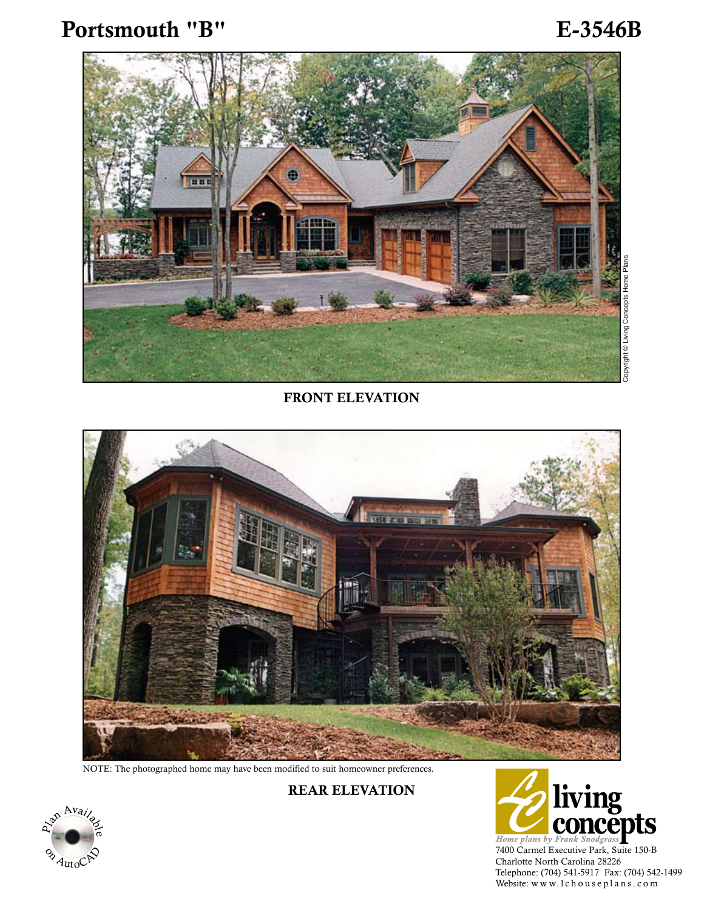Portsmouth "B" E-3546B



FRONT ELEVATION



NOTE: The photographed home may have been modified to suit homeowner preferences.

Rear Elevation



7400 Carmel Executive Park, Suite 150-B Charlotte North Carolina 28226 Telephone: (704) 541-5917 Fax: (704) 542-1499<br>Website: www.1chouseplans.com